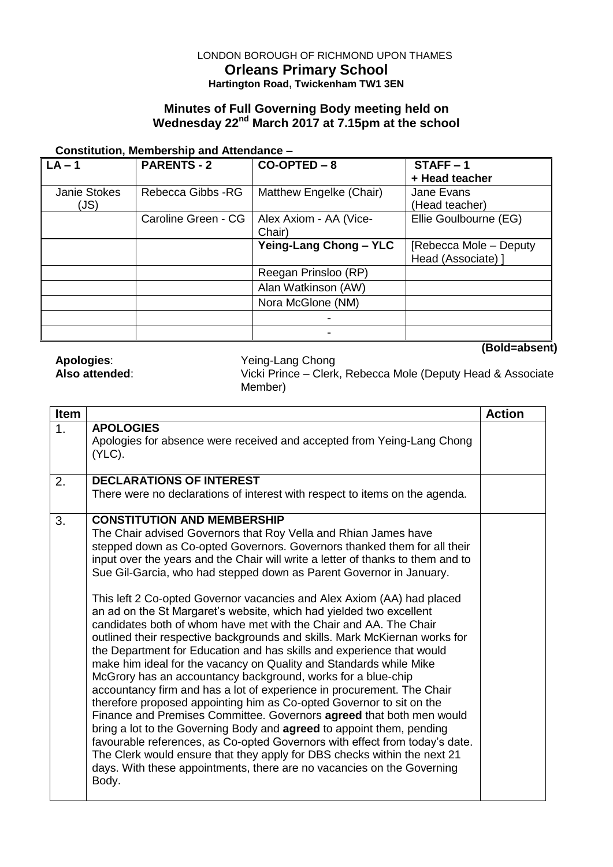#### LONDON BOROUGH OF RICHMOND UPON THAMES **Orleans Primary School Hartington Road, Twickenham TW1 3EN**

### **Minutes of Full Governing Body meeting held on Wednesday 22nd March 2017 at 7.15pm at the school**

#### **Constitution, Membership and Attendance –**

| $LA - 1$            | <b>PARENTS - 2</b>  | $CO-OPTED - 8$                | $STATE - 1$             |
|---------------------|---------------------|-------------------------------|-------------------------|
|                     |                     |                               | + Head teacher          |
| <b>Janie Stokes</b> | Rebecca Gibbs -RG   | Matthew Engelke (Chair)       | Jane Evans              |
| (JS)                |                     |                               | (Head teacher)          |
|                     | Caroline Green - CG | Alex Axiom - AA (Vice-        | Ellie Goulbourne (EG)   |
|                     |                     | Chair)                        |                         |
|                     |                     | <b>Yeing-Lang Chong - YLC</b> | [Rebecca Mole - Deputy] |
|                     |                     |                               | Head (Associate) 1      |
|                     |                     | Reegan Prinsloo (RP)          |                         |
|                     |                     | Alan Watkinson (AW)           |                         |
|                     |                     | Nora McGlone (NM)             |                         |
|                     |                     |                               |                         |
|                     |                     |                               |                         |

**Apologies:** Yeing-Lang Chong<br> **Also attended:** Vicki Prince – Clerk

**(Bold=absent)**

Vicki Prince – Clerk, Rebecca Mole (Deputy Head & Associate Member)

| <b>Item</b> |                                                                                                                                                                                                                                                                                                                                                                                                                                                                                                                                                                                                                                                                                                                                                                                                                                                                                                                                                                                                                                                                                                                                                                                                                                                                                                                                                                                                                        | <b>Action</b> |
|-------------|------------------------------------------------------------------------------------------------------------------------------------------------------------------------------------------------------------------------------------------------------------------------------------------------------------------------------------------------------------------------------------------------------------------------------------------------------------------------------------------------------------------------------------------------------------------------------------------------------------------------------------------------------------------------------------------------------------------------------------------------------------------------------------------------------------------------------------------------------------------------------------------------------------------------------------------------------------------------------------------------------------------------------------------------------------------------------------------------------------------------------------------------------------------------------------------------------------------------------------------------------------------------------------------------------------------------------------------------------------------------------------------------------------------------|---------------|
| 1.          | <b>APOLOGIES</b><br>Apologies for absence were received and accepted from Yeing-Lang Chong<br>$(YLC)$ .                                                                                                                                                                                                                                                                                                                                                                                                                                                                                                                                                                                                                                                                                                                                                                                                                                                                                                                                                                                                                                                                                                                                                                                                                                                                                                                |               |
| 2.          | <b>DECLARATIONS OF INTEREST</b><br>There were no declarations of interest with respect to items on the agenda.                                                                                                                                                                                                                                                                                                                                                                                                                                                                                                                                                                                                                                                                                                                                                                                                                                                                                                                                                                                                                                                                                                                                                                                                                                                                                                         |               |
| 3.          | <b>CONSTITUTION AND MEMBERSHIP</b><br>The Chair advised Governors that Roy Vella and Rhian James have<br>stepped down as Co-opted Governors. Governors thanked them for all their<br>input over the years and the Chair will write a letter of thanks to them and to<br>Sue Gil-Garcia, who had stepped down as Parent Governor in January.<br>This left 2 Co-opted Governor vacancies and Alex Axiom (AA) had placed<br>an ad on the St Margaret's website, which had yielded two excellent<br>candidates both of whom have met with the Chair and AA. The Chair<br>outlined their respective backgrounds and skills. Mark McKiernan works for<br>the Department for Education and has skills and experience that would<br>make him ideal for the vacancy on Quality and Standards while Mike<br>McGrory has an accountancy background, works for a blue-chip<br>accountancy firm and has a lot of experience in procurement. The Chair<br>therefore proposed appointing him as Co-opted Governor to sit on the<br>Finance and Premises Committee. Governors agreed that both men would<br>bring a lot to the Governing Body and <b>agreed</b> to appoint them, pending<br>favourable references, as Co-opted Governors with effect from today's date.<br>The Clerk would ensure that they apply for DBS checks within the next 21<br>days. With these appointments, there are no vacancies on the Governing<br>Body. |               |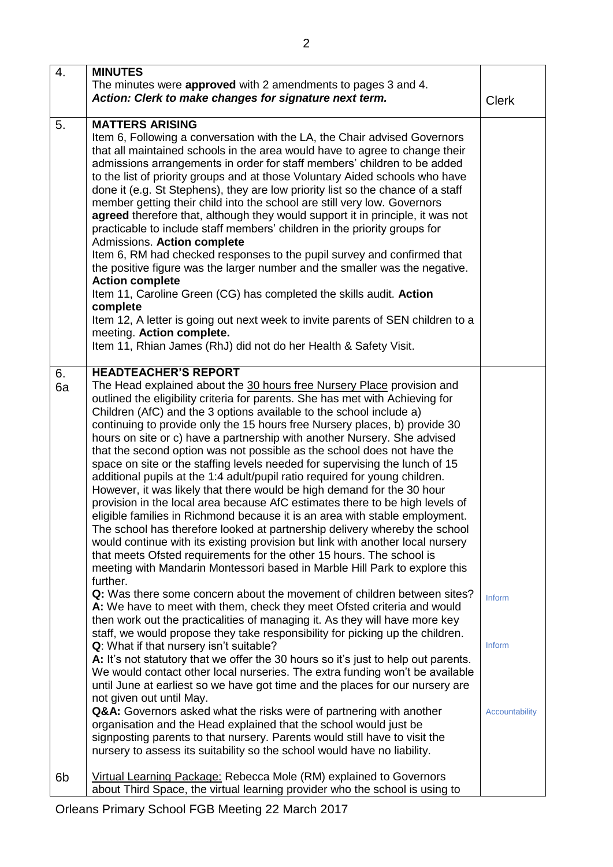| 4.       | <b>MINUTES</b>                                                                                                                                                                                                                                                                                                                                                                                                                                                                                                                                                                                                                                                                                                                                                                                                                                                                                                                                                                                                                                                                                                                                                                                                                                                                                                                                                                                                                                                                                                                                                                                                                                                                                                                                                                                                                                                                                                                                                                                                                                                                                                                                                                                               |                                    |
|----------|--------------------------------------------------------------------------------------------------------------------------------------------------------------------------------------------------------------------------------------------------------------------------------------------------------------------------------------------------------------------------------------------------------------------------------------------------------------------------------------------------------------------------------------------------------------------------------------------------------------------------------------------------------------------------------------------------------------------------------------------------------------------------------------------------------------------------------------------------------------------------------------------------------------------------------------------------------------------------------------------------------------------------------------------------------------------------------------------------------------------------------------------------------------------------------------------------------------------------------------------------------------------------------------------------------------------------------------------------------------------------------------------------------------------------------------------------------------------------------------------------------------------------------------------------------------------------------------------------------------------------------------------------------------------------------------------------------------------------------------------------------------------------------------------------------------------------------------------------------------------------------------------------------------------------------------------------------------------------------------------------------------------------------------------------------------------------------------------------------------------------------------------------------------------------------------------------------------|------------------------------------|
|          | The minutes were approved with 2 amendments to pages 3 and 4.<br>Action: Clerk to make changes for signature next term.                                                                                                                                                                                                                                                                                                                                                                                                                                                                                                                                                                                                                                                                                                                                                                                                                                                                                                                                                                                                                                                                                                                                                                                                                                                                                                                                                                                                                                                                                                                                                                                                                                                                                                                                                                                                                                                                                                                                                                                                                                                                                      | <b>Clerk</b>                       |
| 5.       | <b>MATTERS ARISING</b><br>Item 6, Following a conversation with the LA, the Chair advised Governors<br>that all maintained schools in the area would have to agree to change their<br>admissions arrangements in order for staff members' children to be added<br>to the list of priority groups and at those Voluntary Aided schools who have<br>done it (e.g. St Stephens), they are low priority list so the chance of a staff<br>member getting their child into the school are still very low. Governors<br>agreed therefore that, although they would support it in principle, it was not<br>practicable to include staff members' children in the priority groups for<br>Admissions. Action complete<br>Item 6, RM had checked responses to the pupil survey and confirmed that<br>the positive figure was the larger number and the smaller was the negative.<br><b>Action complete</b><br>Item 11, Caroline Green (CG) has completed the skills audit. Action<br>complete<br>Item 12, A letter is going out next week to invite parents of SEN children to a<br>meeting. Action complete.<br>Item 11, Rhian James (RhJ) did not do her Health & Safety Visit.                                                                                                                                                                                                                                                                                                                                                                                                                                                                                                                                                                                                                                                                                                                                                                                                                                                                                                                                                                                                                                       |                                    |
| 6.<br>6a | <b>HEADTEACHER'S REPORT</b><br>The Head explained about the 30 hours free Nursery Place provision and<br>outlined the eligibility criteria for parents. She has met with Achieving for<br>Children (AfC) and the 3 options available to the school include a)<br>continuing to provide only the 15 hours free Nursery places, b) provide 30<br>hours on site or c) have a partnership with another Nursery. She advised<br>that the second option was not possible as the school does not have the<br>space on site or the staffing levels needed for supervising the lunch of 15<br>additional pupils at the 1:4 adult/pupil ratio required for young children.<br>However, it was likely that there would be high demand for the 30 hour<br>provision in the local area because AfC estimates there to be high levels of<br>eligible families in Richmond because it is an area with stable employment.<br>The school has therefore looked at partnership delivery whereby the school<br>would continue with its existing provision but link with another local nursery<br>that meets Ofsted requirements for the other 15 hours. The school is<br>meeting with Mandarin Montessori based in Marble Hill Park to explore this<br>further.<br><b>Q:</b> Was there some concern about the movement of children between sites?<br>A: We have to meet with them, check they meet Ofsted criteria and would<br>then work out the practicalities of managing it. As they will have more key<br>staff, we would propose they take responsibility for picking up the children.<br>Q: What if that nursery isn't suitable?<br>A: It's not statutory that we offer the 30 hours so it's just to help out parents.<br>We would contact other local nurseries. The extra funding won't be available<br>until June at earliest so we have got time and the places for our nursery are<br>not given out until May.<br>Q&A: Governors asked what the risks were of partnering with another<br>organisation and the Head explained that the school would just be<br>signposting parents to that nursery. Parents would still have to visit the<br>nursery to assess its suitability so the school would have no liability. | Inform<br>Inform<br>Accountability |
| 6b       | Virtual Learning Package: Rebecca Mole (RM) explained to Governors<br>about Third Space, the virtual learning provider who the school is using to                                                                                                                                                                                                                                                                                                                                                                                                                                                                                                                                                                                                                                                                                                                                                                                                                                                                                                                                                                                                                                                                                                                                                                                                                                                                                                                                                                                                                                                                                                                                                                                                                                                                                                                                                                                                                                                                                                                                                                                                                                                            |                                    |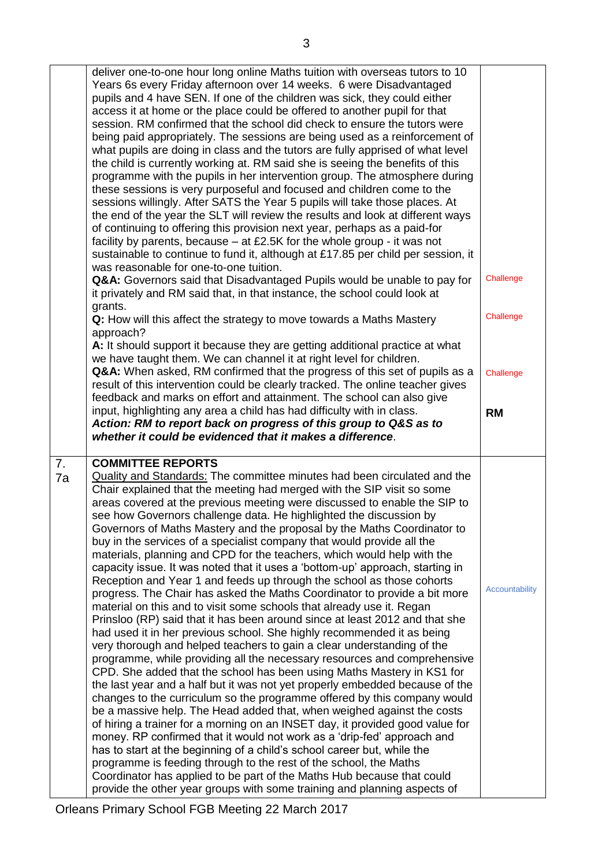|          | deliver one-to-one hour long online Maths tuition with overseas tutors to 10<br>Years 6s every Friday afternoon over 14 weeks. 6 were Disadvantaged<br>pupils and 4 have SEN. If one of the children was sick, they could either<br>access it at home or the place could be offered to another pupil for that<br>session. RM confirmed that the school did check to ensure the tutors were<br>being paid appropriately. The sessions are being used as a reinforcement of<br>what pupils are doing in class and the tutors are fully apprised of what level<br>the child is currently working at. RM said she is seeing the benefits of this<br>programme with the pupils in her intervention group. The atmosphere during<br>these sessions is very purposeful and focused and children come to the<br>sessions willingly. After SATS the Year 5 pupils will take those places. At<br>the end of the year the SLT will review the results and look at different ways<br>of continuing to offering this provision next year, perhaps as a paid-for<br>facility by parents, because $-$ at £2.5K for the whole group - it was not<br>sustainable to continue to fund it, although at £17.85 per child per session, it<br>was reasonable for one-to-one tuition.<br>Q&A: Governors said that Disadvantaged Pupils would be unable to pay for<br>it privately and RM said that, in that instance, the school could look at<br>grants.<br>Q: How will this affect the strategy to move towards a Maths Mastery<br>approach?<br>A: It should support it because they are getting additional practice at what<br>we have taught them. We can channel it at right level for children.                                                                                                                                                                                                                                | Challenge<br>Challenge |
|----------|---------------------------------------------------------------------------------------------------------------------------------------------------------------------------------------------------------------------------------------------------------------------------------------------------------------------------------------------------------------------------------------------------------------------------------------------------------------------------------------------------------------------------------------------------------------------------------------------------------------------------------------------------------------------------------------------------------------------------------------------------------------------------------------------------------------------------------------------------------------------------------------------------------------------------------------------------------------------------------------------------------------------------------------------------------------------------------------------------------------------------------------------------------------------------------------------------------------------------------------------------------------------------------------------------------------------------------------------------------------------------------------------------------------------------------------------------------------------------------------------------------------------------------------------------------------------------------------------------------------------------------------------------------------------------------------------------------------------------------------------------------------------------------------------------------------------------------------------------------------------------------------------------------------|------------------------|
|          | Q&A: When asked, RM confirmed that the progress of this set of pupils as a<br>result of this intervention could be clearly tracked. The online teacher gives<br>feedback and marks on effort and attainment. The school can also give                                                                                                                                                                                                                                                                                                                                                                                                                                                                                                                                                                                                                                                                                                                                                                                                                                                                                                                                                                                                                                                                                                                                                                                                                                                                                                                                                                                                                                                                                                                                                                                                                                                                         | Challenge              |
|          | input, highlighting any area a child has had difficulty with in class.<br>Action: RM to report back on progress of this group to Q&S as to<br>whether it could be evidenced that it makes a difference.                                                                                                                                                                                                                                                                                                                                                                                                                                                                                                                                                                                                                                                                                                                                                                                                                                                                                                                                                                                                                                                                                                                                                                                                                                                                                                                                                                                                                                                                                                                                                                                                                                                                                                       | <b>RM</b>              |
| 7.<br>7a | <b>COMMITTEE REPORTS</b><br><b>Quality and Standards: The committee minutes had been circulated and the</b><br>Chair explained that the meeting had merged with the SIP visit so some<br>areas covered at the previous meeting were discussed to enable the SIP to<br>see how Governors challenge data. He highlighted the discussion by<br>Governors of Maths Mastery and the proposal by the Maths Coordinator to<br>buy in the services of a specialist company that would provide all the<br>materials, planning and CPD for the teachers, which would help with the<br>capacity issue. It was noted that it uses a 'bottom-up' approach, starting in<br>Reception and Year 1 and feeds up through the school as those cohorts<br>progress. The Chair has asked the Maths Coordinator to provide a bit more<br>material on this and to visit some schools that already use it. Regan<br>Prinsloo (RP) said that it has been around since at least 2012 and that she<br>had used it in her previous school. She highly recommended it as being<br>very thorough and helped teachers to gain a clear understanding of the<br>programme, while providing all the necessary resources and comprehensive<br>CPD. She added that the school has been using Maths Mastery in KS1 for<br>the last year and a half but it was not yet properly embedded because of the<br>changes to the curriculum so the programme offered by this company would<br>be a massive help. The Head added that, when weighed against the costs<br>of hiring a trainer for a morning on an INSET day, it provided good value for<br>money. RP confirmed that it would not work as a 'drip-fed' approach and<br>has to start at the beginning of a child's school career but, while the<br>programme is feeding through to the rest of the school, the Maths<br>Coordinator has applied to be part of the Maths Hub because that could | Accountability         |

Orleans Primary School FGB Meeting 22 March 2017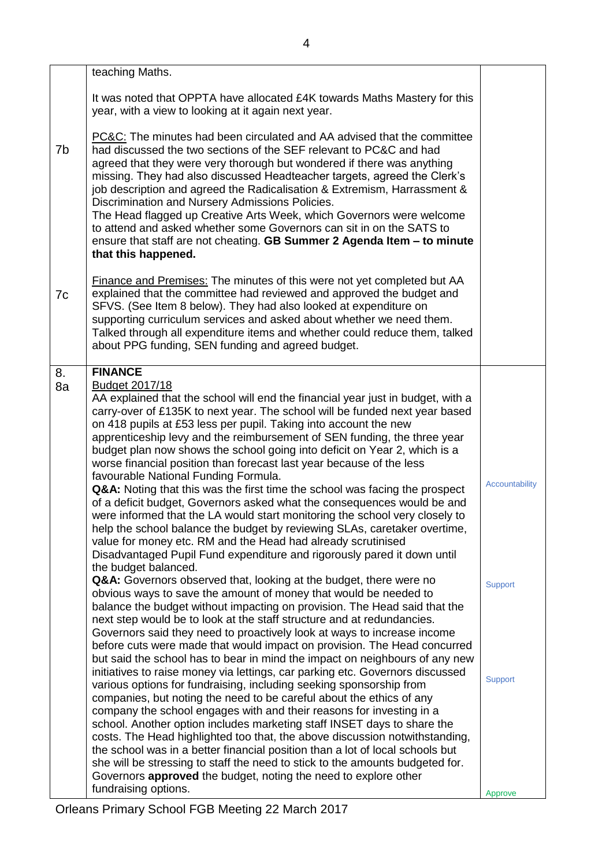|          | teaching Maths.                                                                                                                                                                                                                                                                                                                                                                                                                                                                                                                                                                                                                                                                                                                                                                                                                                                                                                                                                                                                                                                                                                                                                                                                                                                                                                                                                                                                                                                                                                                                                                                                                                                                                                                                                                                                                                                                                                                                                                                                                                                                                                                                                                                                     |                                             |
|----------|---------------------------------------------------------------------------------------------------------------------------------------------------------------------------------------------------------------------------------------------------------------------------------------------------------------------------------------------------------------------------------------------------------------------------------------------------------------------------------------------------------------------------------------------------------------------------------------------------------------------------------------------------------------------------------------------------------------------------------------------------------------------------------------------------------------------------------------------------------------------------------------------------------------------------------------------------------------------------------------------------------------------------------------------------------------------------------------------------------------------------------------------------------------------------------------------------------------------------------------------------------------------------------------------------------------------------------------------------------------------------------------------------------------------------------------------------------------------------------------------------------------------------------------------------------------------------------------------------------------------------------------------------------------------------------------------------------------------------------------------------------------------------------------------------------------------------------------------------------------------------------------------------------------------------------------------------------------------------------------------------------------------------------------------------------------------------------------------------------------------------------------------------------------------------------------------------------------------|---------------------------------------------|
|          | It was noted that OPPTA have allocated £4K towards Maths Mastery for this<br>year, with a view to looking at it again next year.                                                                                                                                                                                                                                                                                                                                                                                                                                                                                                                                                                                                                                                                                                                                                                                                                                                                                                                                                                                                                                                                                                                                                                                                                                                                                                                                                                                                                                                                                                                                                                                                                                                                                                                                                                                                                                                                                                                                                                                                                                                                                    |                                             |
| 7b       | PC&C: The minutes had been circulated and AA advised that the committee<br>had discussed the two sections of the SEF relevant to PC&C and had<br>agreed that they were very thorough but wondered if there was anything<br>missing. They had also discussed Headteacher targets, agreed the Clerk's<br>job description and agreed the Radicalisation & Extremism, Harrassment &<br>Discrimination and Nursery Admissions Policies.<br>The Head flagged up Creative Arts Week, which Governors were welcome<br>to attend and asked whether some Governors can sit in on the SATS to<br>ensure that staff are not cheating. GB Summer 2 Agenda Item - to minute<br>that this happened.                                                                                                                                                                                                                                                                                                                                                                                                                                                                                                                                                                                                                                                                                                                                                                                                                                                                                                                                                                                                                                                                                                                                                                                                                                                                                                                                                                                                                                                                                                                                |                                             |
| 7c       | <b>Finance and Premises: The minutes of this were not yet completed but AA</b><br>explained that the committee had reviewed and approved the budget and<br>SFVS. (See Item 8 below). They had also looked at expenditure on<br>supporting curriculum services and asked about whether we need them.<br>Talked through all expenditure items and whether could reduce them, talked<br>about PPG funding, SEN funding and agreed budget.                                                                                                                                                                                                                                                                                                                                                                                                                                                                                                                                                                                                                                                                                                                                                                                                                                                                                                                                                                                                                                                                                                                                                                                                                                                                                                                                                                                                                                                                                                                                                                                                                                                                                                                                                                              |                                             |
| 8.<br>8a | <b>FINANCE</b><br>Budget 2017/18<br>AA explained that the school will end the financial year just in budget, with a<br>carry-over of £135K to next year. The school will be funded next year based<br>on 418 pupils at £53 less per pupil. Taking into account the new<br>apprenticeship levy and the reimbursement of SEN funding, the three year<br>budget plan now shows the school going into deficit on Year 2, which is a<br>worse financial position than forecast last year because of the less<br>favourable National Funding Formula.<br>Q&A: Noting that this was the first time the school was facing the prospect<br>of a deficit budget, Governors asked what the consequences would be and<br>were informed that the LA would start monitoring the school very closely to<br>help the school balance the budget by reviewing SLAs, caretaker overtime,<br>value for money etc. RM and the Head had already scrutinised<br>Disadvantaged Pupil Fund expenditure and rigorously pared it down until<br>the budget balanced.<br>Q&A: Governors observed that, looking at the budget, there were no<br>obvious ways to save the amount of money that would be needed to<br>balance the budget without impacting on provision. The Head said that the<br>next step would be to look at the staff structure and at redundancies.<br>Governors said they need to proactively look at ways to increase income<br>before cuts were made that would impact on provision. The Head concurred<br>but said the school has to bear in mind the impact on neighbours of any new<br>initiatives to raise money via lettings, car parking etc. Governors discussed<br>various options for fundraising, including seeking sponsorship from<br>companies, but noting the need to be careful about the ethics of any<br>company the school engages with and their reasons for investing in a<br>school. Another option includes marketing staff INSET days to share the<br>costs. The Head highlighted too that, the above discussion notwithstanding,<br>the school was in a better financial position than a lot of local schools but<br>she will be stressing to staff the need to stick to the amounts budgeted for. | Accountability<br>Support<br><b>Support</b> |
|          | Governors approved the budget, noting the need to explore other<br>fundraising options.                                                                                                                                                                                                                                                                                                                                                                                                                                                                                                                                                                                                                                                                                                                                                                                                                                                                                                                                                                                                                                                                                                                                                                                                                                                                                                                                                                                                                                                                                                                                                                                                                                                                                                                                                                                                                                                                                                                                                                                                                                                                                                                             | Approve                                     |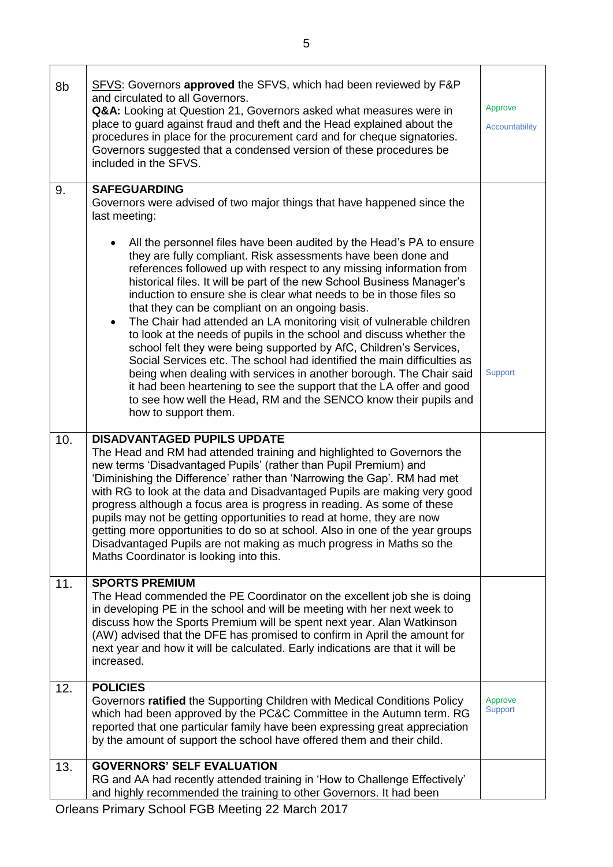| 8b  | SFVS: Governors approved the SFVS, which had been reviewed by F&P<br>and circulated to all Governors.<br>Q&A: Looking at Question 21, Governors asked what measures were in<br>place to guard against fraud and theft and the Head explained about the<br>procedures in place for the procurement card and for cheque signatories.<br>Governors suggested that a condensed version of these procedures be<br>included in the SFVS.                                                                                                                                                                                                                                                                                                                                                                                                                | Approve<br>Accountability |
|-----|---------------------------------------------------------------------------------------------------------------------------------------------------------------------------------------------------------------------------------------------------------------------------------------------------------------------------------------------------------------------------------------------------------------------------------------------------------------------------------------------------------------------------------------------------------------------------------------------------------------------------------------------------------------------------------------------------------------------------------------------------------------------------------------------------------------------------------------------------|---------------------------|
| 9.  | <b>SAFEGUARDING</b><br>Governors were advised of two major things that have happened since the<br>last meeting:<br>All the personnel files have been audited by the Head's PA to ensure<br>they are fully compliant. Risk assessments have been done and<br>references followed up with respect to any missing information from<br>historical files. It will be part of the new School Business Manager's<br>induction to ensure she is clear what needs to be in those files so<br>that they can be compliant on an ongoing basis.<br>The Chair had attended an LA monitoring visit of vulnerable children<br>$\bullet$<br>to look at the needs of pupils in the school and discuss whether the<br>school felt they were being supported by AfC, Children's Services,<br>Social Services etc. The school had identified the main difficulties as |                           |
|     | being when dealing with services in another borough. The Chair said<br>it had been heartening to see the support that the LA offer and good<br>to see how well the Head, RM and the SENCO know their pupils and<br>how to support them.                                                                                                                                                                                                                                                                                                                                                                                                                                                                                                                                                                                                           | <b>Support</b>            |
| 10. | <b>DISADVANTAGED PUPILS UPDATE</b><br>The Head and RM had attended training and highlighted to Governors the<br>new terms 'Disadvantaged Pupils' (rather than Pupil Premium) and<br>'Diminishing the Difference' rather than 'Narrowing the Gap'. RM had met<br>with RG to look at the data and Disadvantaged Pupils are making very good<br>progress although a focus area is progress in reading. As some of these<br>pupils may not be getting opportunities to read at home, they are now<br>getting more opportunities to do so at school. Also in one of the year groups<br>Disadvantaged Pupils are not making as much progress in Maths so the<br>Maths Coordinator is looking into this.                                                                                                                                                 |                           |
| 11. | <b>SPORTS PREMIUM</b><br>The Head commended the PE Coordinator on the excellent job she is doing<br>in developing PE in the school and will be meeting with her next week to<br>discuss how the Sports Premium will be spent next year. Alan Watkinson<br>(AW) advised that the DFE has promised to confirm in April the amount for<br>next year and how it will be calculated. Early indications are that it will be<br>increased.                                                                                                                                                                                                                                                                                                                                                                                                               |                           |
| 12. | <b>POLICIES</b><br>Governors ratified the Supporting Children with Medical Conditions Policy<br>which had been approved by the PC&C Committee in the Autumn term. RG<br>reported that one particular family have been expressing great appreciation<br>by the amount of support the school have offered them and their child.                                                                                                                                                                                                                                                                                                                                                                                                                                                                                                                     | Approve<br><b>Support</b> |
| 13. | <b>GOVERNORS' SELF EVALUATION</b><br>RG and AA had recently attended training in 'How to Challenge Effectively'<br>and highly recommended the training to other Governors. It had been                                                                                                                                                                                                                                                                                                                                                                                                                                                                                                                                                                                                                                                            |                           |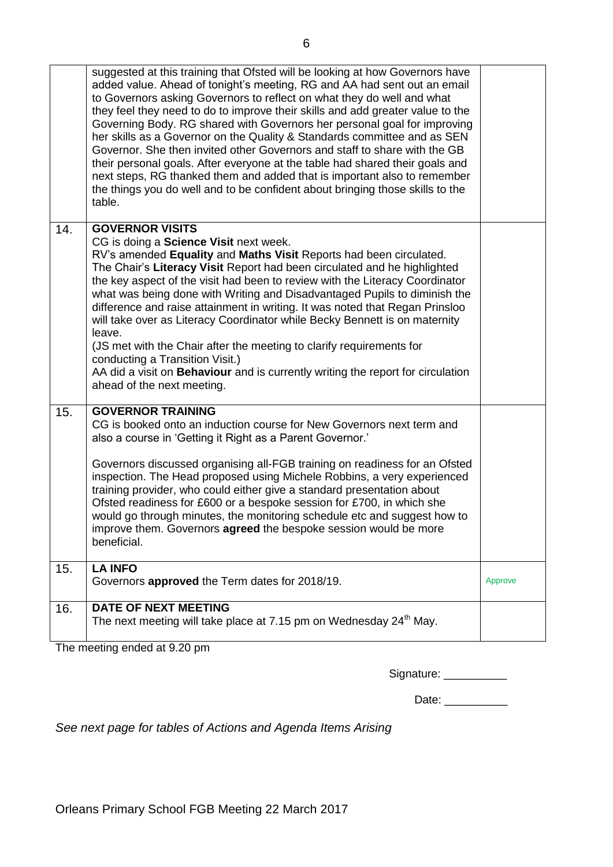The meeting ended at 9.20 pm

| Signature: |  |
|------------|--|
|            |  |

Date:

*See next page for tables of Actions and Agenda Items Arising*